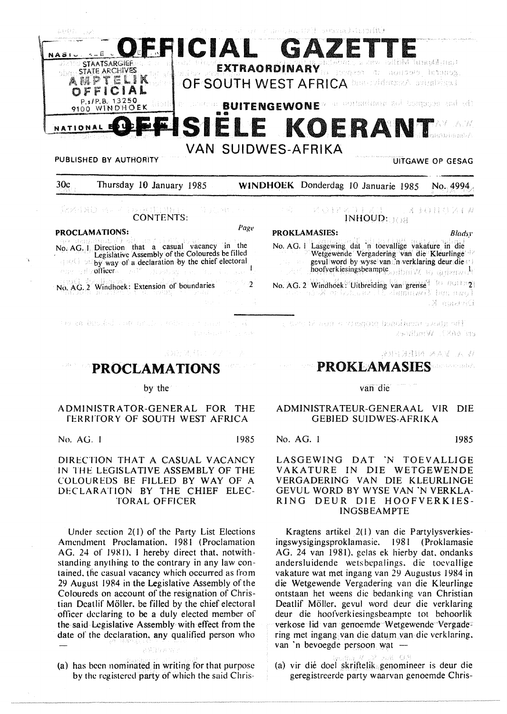

#### Émagno a an se CONTENTS:

# **PROCLAMATIONS:** *Page*

No. AG. I Direction that a casual vacancy in the Legislative Assembly of the Coloureds be filled **by way of a declaration by the chief electoral** otlicer I No. AG. 2 Windhoek: Extension or boundaries 2

THE RA ALLUANS CONFORMED CANDING

392 团相(27)

# **PROCLAMATIONS**

by the

#### ADMINISTRATOR-GENERAL FOR THE *FERRITORY OF SOUTH WEST AFRICA*

No. AG. 1 1985

DIRECTION THAT A CASUAL VACANCY IN THE LEGISLATIVE ASSEMBLY OF THE COLOUREDS BE FILLED BY WAY OF A DECLARATION BY THE CHIEF ELEC-TORAL OFFICER

Under section  $2(1)$  of the Party List Elections Amendment Proclamation. 1981 (Proclamation AG. 24 of 1981). I hereby direct that, notwithstanding anything to the contrary in any law contained. the casual vacancy which occurred as from 29 August 1984 in the Legislative Assembly of the Coloureds on account of the resignation of Christian Dcatlif Moller. be filled by the chief electoral officer declaring to be a duly elected member of the said Legislative Assembly with effect from the date of the declaration. any qualified person Who

(a) has been nominated in writing for that purpose by the registered party of which the said Chris-

#### **A 起自目号的主要** INHOUD:

#### **PROKLAMASJES:** Bladsy

No. AG. I Lasgewing dat 'n toevallige vakature in die Wetgewende Vergadering van die Kleurlinge is gevul word by wyse van in verklaring deur die

hoofverkiesingsbeample and builves to cariamarch

No. AG. 2 Windhoek: Uitbreiding van grense <sup>1</sup> 2 noi 132 N constrict

: svouvi aux s vreedte batoikets okata off es eAKT Vymthret

**きが目がする Aほぼにどれる** 

# **PROKLAMASIES**

van die

#### ADMINISTRATEUR-GENERAAL VIR DIE GEBIED SUIDWES-AFRIKA

No. AG. I 1985

LASGEWING DAT 'N TOEVALLIGE VAKATURE IN DIE WETGEWENDE VERGADERING VAN DIE KLEURLINGE GEVUL WORD BY WYSE VAN 'N VERKLA-RING DEUR DIE HOOFVERKIES-INGSBEAMPTE

Kragtens artikel 2( I) van die Partylysverkiesingswysigingsproklamasie. 1981 (Proklamasie AG. 24 van 1981). gelas ek hierby dat. ondanks andersluidende wetsbepalings. die tocvallige vakature wat met ingang van 29 Augustus 1984 in die Wetgewende Vergadering van die Kleurlinge ontstaan het weens die bedanking van Christian Deatlif Moller. gevul word deur die verklaring deur die hoofverkiesingsbeampte tot behoorlik verkose lid van genoemde Wetgewendc Vergadering met ingang van die datum van die verklaring. van 'n bevoegde persoon wat -

308 G.S (a) vir dié doel skriftelik genomineer is deur die geregistreerde party waarvan genocmde Chris-